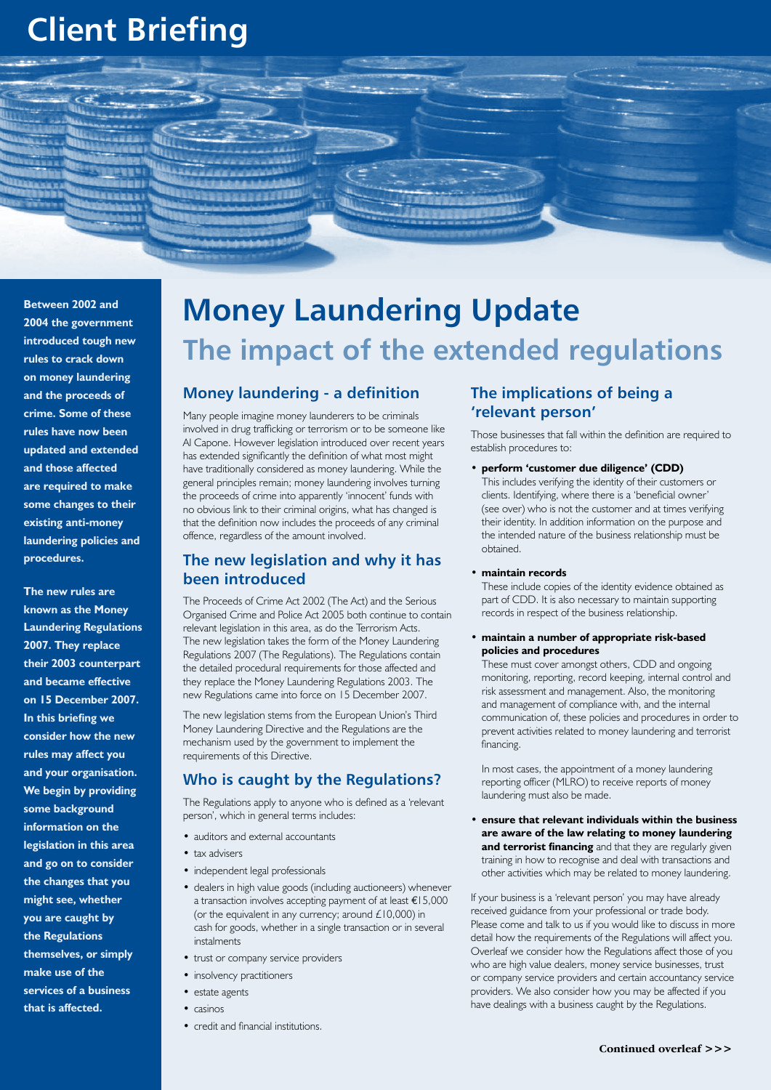# **Client Briefing**



**Between 2002 and 2004 the government introduced tough new rules to crack down on money laundering and the proceeds of crime. Some of these rules have now been updated and extended and those affected are required to make some changes to their existing anti-money laundering policies and procedures.**

**The new rules are known as the Money Laundering Regulations 2007. They replace their 2003 counterpart and became effective on 15 December 2007. In this briefing we consider how the new rules may affect you and your organisation. We begin by providing some background information on the legislation in this area and go on to consider the changes that you might see, whether you are caught by the Regulations themselves, or simply make use of the services of a business that is affected.**

# **Money Laundering Update The impact of the extended regulations**

#### **Money laundering - a definition**

Many people imagine money launderers to be criminals involved in drug trafficking or terrorism or to be someone like Al Capone. However legislation introduced over recent years has extended significantly the definition of what most might have traditionally considered as money laundering. While the general principles remain; money laundering involves turning the proceeds of crime into apparently 'innocent' funds with no obvious link to their criminal origins, what has changed is that the definition now includes the proceeds of any criminal offence, regardless of the amount involved.

#### **The new legislation and why it has been introduced**

The Proceeds of Crime Act 2002 (The Act) and the Serious Organised Crime and Police Act 2005 both continue to contain relevant legislation in this area, as do the Terrorism Acts. The new legislation takes the form of the Money Laundering Regulations 2007 (The Regulations). The Regulations contain the detailed procedural requirements for those affected and they replace the Money Laundering Regulations 2003. The new Regulations came into force on 15 December 2007.

The new legislation stems from the European Union's Third Money Laundering Directive and the Regulations are the mechanism used by the government to implement the requirements of this Directive.

### **Who is caught by the Regulations?**

The Regulations apply to anyone who is defined as a 'relevant person', which in general terms includes:

- auditors and external accountants
- tax advisers
- independent legal professionals
- dealers in high value goods (including auctioneers) whenever a transaction involves accepting payment of at least  $\epsilon$ 15,000 (or the equivalent in any currency; around  $£10,000$ ) in cash for goods, whether in a single transaction or in several instalments
- trust or company service providers
- insolvency practitioners
- estate agents
- • casinos
- credit and financial institutions.

#### **The implications of being a 'relevant person'**

Those businesses that fall within the definition are required to establish procedures to:

• **perform 'customer due diligence' (CDD)** This includes verifying the identity of their customers or clients. Identifying, where there is a 'beneficial owner' (see over) who is not the customer and at times verifying their identity. In addition information on the purpose and the intended nature of the business relationship must be obtained.

#### • **maintain records**

These include copies of the identity evidence obtained as part of CDD. It is also necessary to maintain supporting records in respect of the business relationship.

#### • **maintain a number of appropriate risk-based policies and procedures**

These must cover amongst others, CDD and ongoing monitoring, reporting, record keeping, internal control and risk assessment and management. Also, the monitoring and management of compliance with, and the internal communication of, these policies and procedures in order to prevent activities related to money laundering and terrorist financing.

In most cases, the appointment of a money laundering reporting officer (MLRO) to receive reports of money laundering must also be made.

ensure that relevant individuals within the business **are aware of the law relating to money laundering and terrorist financing** and that they are regularly given training in how to recognise and deal with transactions and other activities which may be related to money laundering.

If your business is a 'relevant person' you may have already received guidance from your professional or trade body. Please come and talk to us if you would like to discuss in more detail how the requirements of the Regulations will affect you. Overleaf we consider how the Regulations affect those of you who are high value dealers, money service businesses, trust or company service providers and certain accountancy service providers. We also consider how you may be affected if you have dealings with a business caught by the Regulations.